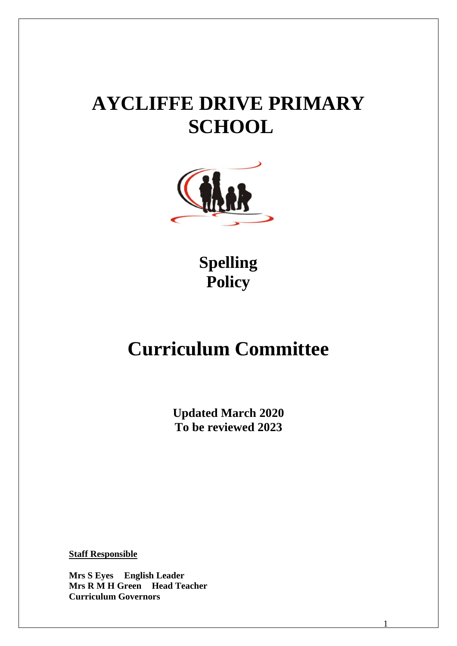# **AYCLIFFE DRIVE PRIMARY SCHOOL**



**Spelling Policy**

## **Curriculum Committee**

**Updated March 2020 To be reviewed 2023**

1

**Staff Responsible**

**Mrs S Eyes English Leader Mrs R M H Green Head Teacher Curriculum Governors**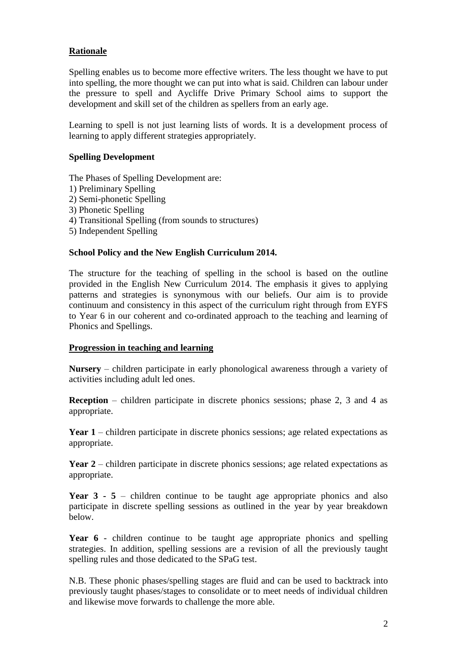## **Rationale**

Spelling enables us to become more effective writers. The less thought we have to put into spelling, the more thought we can put into what is said. Children can labour under the pressure to spell and Aycliffe Drive Primary School aims to support the development and skill set of the children as spellers from an early age.

Learning to spell is not just learning lists of words. It is a development process of learning to apply different strategies appropriately.

### **Spelling Development**

The Phases of Spelling Development are:

- 1) Preliminary Spelling
- 2) Semi-phonetic Spelling
- 3) Phonetic Spelling
- 4) Transitional Spelling (from sounds to structures)
- 5) Independent Spelling

## **School Policy and the New English Curriculum 2014.**

The structure for the teaching of spelling in the school is based on the outline provided in the English New Curriculum 2014. The emphasis it gives to applying patterns and strategies is synonymous with our beliefs. Our aim is to provide continuum and consistency in this aspect of the curriculum right through from EYFS to Year 6 in our coherent and co-ordinated approach to the teaching and learning of Phonics and Spellings.

#### **Progression in teaching and learning**

**Nursery** – children participate in early phonological awareness through a variety of activities including adult led ones.

**Reception** – children participate in discrete phonics sessions; phase 2, 3 and 4 as appropriate.

**Year 1** – children participate in discrete phonics sessions; age related expectations as appropriate.

**Year 2** – children participate in discrete phonics sessions; age related expectations as appropriate.

Year 3 - 5 – children continue to be taught age appropriate phonics and also participate in discrete spelling sessions as outlined in the year by year breakdown below.

Year 6 - children continue to be taught age appropriate phonics and spelling strategies. In addition, spelling sessions are a revision of all the previously taught spelling rules and those dedicated to the SPaG test.

N.B. These phonic phases/spelling stages are fluid and can be used to backtrack into previously taught phases/stages to consolidate or to meet needs of individual children and likewise move forwards to challenge the more able.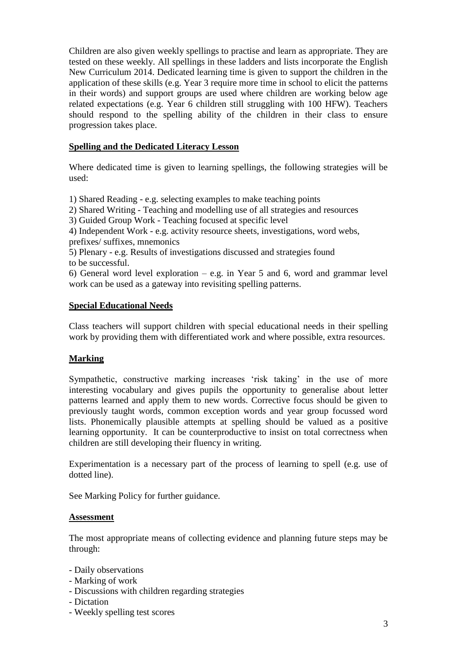Children are also given weekly spellings to practise and learn as appropriate. They are tested on these weekly. All spellings in these ladders and lists incorporate the English New Curriculum 2014. Dedicated learning time is given to support the children in the application of these skills (e.g. Year 3 require more time in school to elicit the patterns in their words) and support groups are used where children are working below age related expectations (e.g. Year 6 children still struggling with 100 HFW). Teachers should respond to the spelling ability of the children in their class to ensure progression takes place.

## **Spelling and the Dedicated Literacy Lesson**

Where dedicated time is given to learning spellings, the following strategies will be used:

1) Shared Reading - e.g. selecting examples to make teaching points

2) Shared Writing - Teaching and modelling use of all strategies and resources

3) Guided Group Work - Teaching focused at specific level

4) Independent Work - e.g. activity resource sheets, investigations, word webs, prefixes/ suffixes, mnemonics

5) Plenary - e.g. Results of investigations discussed and strategies found to be successful.

6) General word level exploration – e.g. in Year 5 and 6, word and grammar level work can be used as a gateway into revisiting spelling patterns.

## **Special Educational Needs**

Class teachers will support children with special educational needs in their spelling work by providing them with differentiated work and where possible, extra resources.

## **Marking**

Sympathetic, constructive marking increases 'risk taking' in the use of more interesting vocabulary and gives pupils the opportunity to generalise about letter patterns learned and apply them to new words. Corrective focus should be given to previously taught words, common exception words and year group focussed word lists. Phonemically plausible attempts at spelling should be valued as a positive learning opportunity. It can be counterproductive to insist on total correctness when children are still developing their fluency in writing.

Experimentation is a necessary part of the process of learning to spell (e.g. use of dotted line).

See Marking Policy for further guidance.

#### **Assessment**

The most appropriate means of collecting evidence and planning future steps may be through:

- Daily observations
- Marking of work
- Discussions with children regarding strategies
- Dictation
- Weekly spelling test scores